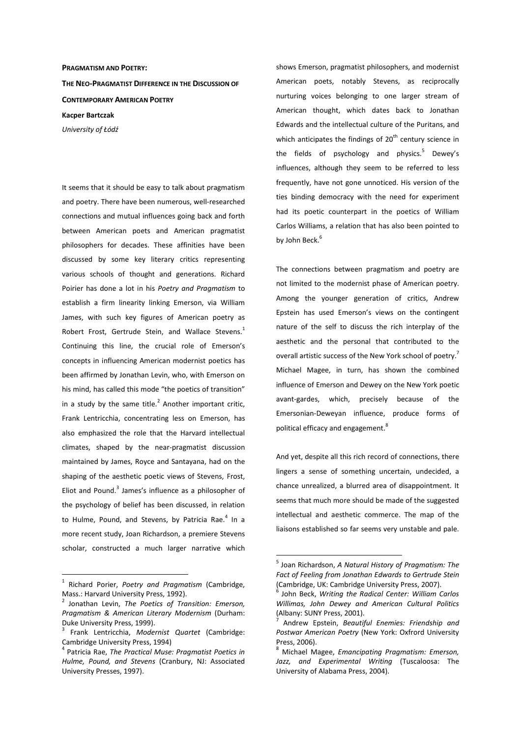#### **PRAGMATISM AND POETRY:**

**THE NEO-PRAGMATIST DIFFERENCE IN THE DISCUSSION OF CONTEMPORARY AMERICAN POETRY Kacper Bartczak** 

*University of Łódź* 

It seems that it should be easy to talk about pragmatism and poetry. There have been numerous, well-researched connections and mutual influences going back and forth between American poets and American pragmatist philosophers for decades. These affinities have been discussed by some key literary critics representing various schools of thought and generations. Richard Poirier has done a lot in his *Poetry and Pragmatism* to establish a firm linearity linking Emerson, via William James, with such key figures of American poetry as Robert Frost, Gertrude Stein, and Wallace Stevens.<sup>1</sup> Continuing this line, the crucial role of Emerson's concepts in influencing American modernist poetics has been affirmed by Jonathan Levin, who, with Emerson on his mind, has called this mode "the poetics of transition" in a study by the same title. $^2$  Another important critic, Frank Lentricchia, concentrating less on Emerson, has also emphasized the role that the Harvard intellectual climates, shaped by the near-pragmatist discussion maintained by James, Royce and Santayana, had on the shaping of the aesthetic poetic views of Stevens, Frost, Eliot and Pound.<sup>3</sup> James's influence as a philosopher of the psychology of belief has been discussed, in relation to Hulme, Pound, and Stevens, by Patricia Rae.<sup>4</sup> In a more recent study, Joan Richardson, a premiere Stevens scholar, constructed a much larger narrative which

 $\overline{a}$ 

shows Emerson, pragmatist philosophers, and modernist American poets, notably Stevens, as reciprocally nurturing voices belonging to one larger stream of American thought, which dates back to Jonathan Edwards and the intellectual culture of the Puritans, and which anticipates the findings of  $20<sup>th</sup>$  century science in the fields of psychology and physics.<sup>5</sup> Dewey's influences, although they seem to be referred to less frequently, have not gone unnoticed. His version of the ties binding democracy with the need for experiment had its poetic counterpart in the poetics of William Carlos Williams, a relation that has also been pointed to by John Beck.<sup>6</sup>

The connections between pragmatism and poetry are not limited to the modernist phase of American poetry. Among the younger generation of critics, Andrew Epstein has used Emerson's views on the contingent nature of the self to discuss the rich interplay of the aesthetic and the personal that contributed to the overall artistic success of the New York school of poetry.<sup>7</sup> Michael Magee, in turn, has shown the combined influence of Emerson and Dewey on the New York poetic avant-gardes, which, precisely because of the Emersonian-Deweyan influence, produce forms of political efficacy and engagement.<sup>8</sup>

And yet, despite all this rich record of connections, there lingers a sense of something uncertain, undecided, a chance unrealized, a blurred area of disappointment. It seems that much more should be made of the suggested intellectual and aesthetic commerce. The map of the liaisons established so far seems very unstable and pale.

<sup>1</sup> Richard Porier, *Poetry and Pragmatism* (Cambridge, Mass.: Harvard University Press, 1992).

<sup>2</sup> Jonathan Levin, *The Poetics of Transition: Emerson, Pragmatism & American Literary Modernism* (Durham: Duke University Press, 1999).

<sup>3</sup> Frank Lentricchia, *Modernist Quartet* (Cambridge: Cambridge University Press, 1994)

<sup>4</sup> Patricia Rae, *The Practical Muse: Pragmatist Poetics in Hulme, Pound, and Stevens* (Cranbury, NJ: Associated University Presses, 1997).

<sup>5</sup> Joan Richardson, *A Natural History of Pragmatism: The Fact of Feeling from Jonathan Edwards to Gertrude Stein*  (Cambridge, UK: Cambridge University Press, 2007).

<sup>6</sup> John Beck, *Writing the Radical Center: William Carlos Willimas, John Dewey and American Cultural Politics* (Albany: SUNY Press, 2001).

<sup>7</sup> Andrew Epstein, *Beautiful Enemies: Friendship and Postwar American Poetry* (New York: Oxfrord University Press, 2006).

<sup>8</sup> Michael Magee, *Emancipating Pragmatism: Emerson, Jazz, and Experimental Writing* (Tuscaloosa: The University of Alabama Press, 2004).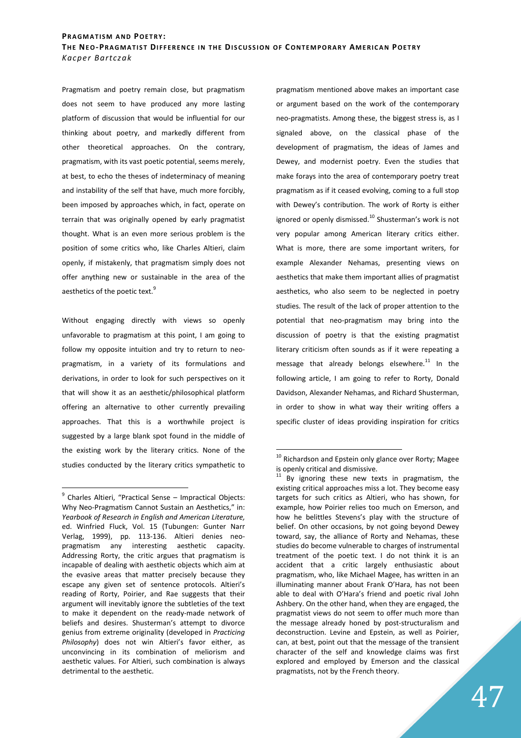Pragmatism and poetry remain close, but pragmatism does not seem to have produced any more lasting platform of discussion that would be influential for our thinking about poetry, and markedly different from other theoretical approaches. On the contrary, pragmatism, with its vast poetic potential, seems merely, at best, to echo the theses of indeterminacy of meaning and instability of the self that have, much more forcibly, been imposed by approaches which, in fact, operate on terrain that was originally opened by early pragmatist thought. What is an even more serious problem is the position of some critics who, like Charles Altieri, claim openly, if mistakenly, that pragmatism simply does not offer anything new or sustainable in the area of the aesthetics of the poetic text.<sup>9</sup>

Without engaging directly with views so openly unfavorable to pragmatism at this point, I am going to follow my opposite intuition and try to return to neopragmatism, in a variety of its formulations and derivations, in order to look for such perspectives on it that will show it as an aesthetic/philosophical platform offering an alternative to other currently prevailing approaches. That this is a worthwhile project is suggested by a large blank spot found in the middle of the existing work by the literary critics. None of the studies conducted by the literary critics sympathetic to

 $\overline{a}$ 

pragmatism mentioned above makes an important case or argument based on the work of the contemporary neo-pragmatists. Among these, the biggest stress is, as I signaled above, on the classical phase of the development of pragmatism, the ideas of James and Dewey, and modernist poetry. Even the studies that make forays into the area of contemporary poetry treat pragmatism as if it ceased evolving, coming to a full stop with Dewey's contribution. The work of Rorty is either ignored or openly dismissed.<sup>10</sup> Shusterman's work is not very popular among American literary critics either. What is more, there are some important writers, for example Alexander Nehamas, presenting views on aesthetics that make them important allies of pragmatist aesthetics, who also seem to be neglected in poetry studies. The result of the lack of proper attention to the potential that neo-pragmatism may bring into the discussion of poetry is that the existing pragmatist literary criticism often sounds as if it were repeating a message that already belongs elsewhere. $^{11}$  In the following article, I am going to refer to Rorty, Donald Davidson, Alexander Nehamas, and Richard Shusterman, in order to show in what way their writing offers a specific cluster of ideas providing inspiration for critics

<sup>&</sup>lt;sup>9</sup> Charles Altieri, "Practical Sense – Impractical Objects: Why Neo-Pragmatism Cannot Sustain an Aesthetics," in: *Yearbook of Research in English and American Literature,*  ed. Winfried Fluck, Vol. 15 (Tubungen: Gunter Narr Verlag, 1999), pp. 113-136. Altieri denies neopragmatism any interesting aesthetic capacity. Addressing Rorty, the critic argues that pragmatism is incapable of dealing with aesthetic objects which aim at the evasive areas that matter precisely because they escape any given set of sentence protocols. Altieri's reading of Rorty, Poirier, and Rae suggests that their argument will inevitably ignore the subtleties of the text to make it dependent on the ready-made network of beliefs and desires. Shusterman's attempt to divorce genius from extreme originality (developed in *Practicing Philosophy*) does not win Altieri's favor either, as unconvincing in its combination of meliorism and aesthetic values. For Altieri, such combination is always detrimental to the aesthetic.

 $^{10}$  Richardson and Epstein only glance over Rorty; Magee is openly critical and dismissive.

 $11$  By ignoring these new texts in pragmatism, the existing critical approaches miss a lot. They become easy targets for such critics as Altieri, who has shown, for example, how Poirier relies too much on Emerson, and how he belittles Stevens's play with the structure of belief. On other occasions, by not going beyond Dewey toward, say, the alliance of Rorty and Nehamas, these studies do become vulnerable to charges of instrumental treatment of the poetic text. I do not think it is an accident that a critic largely enthusiastic about pragmatism, who, like Michael Magee, has written in an illuminating manner about Frank O'Hara, has not been able to deal with O'Hara's friend and poetic rival John Ashbery. On the other hand, when they are engaged, the pragmatist views do not seem to offer much more than the message already honed by post-structuralism and deconstruction. Levine and Epstein, as well as Poirier, can, at best, point out that the message of the transient character of the self and knowledge claims was first explored and employed by Emerson and the classical pragmatists, not by the French theory.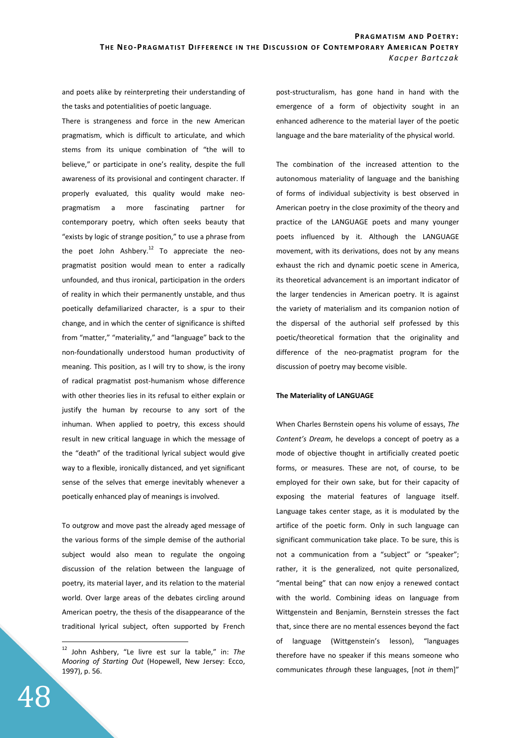and poets alike by reinterpreting their understanding of the tasks and potentialities of poetic language.

There is strangeness and force in the new American pragmatism, which is difficult to articulate, and which stems from its unique combination of "the will to believe," or participate in one's reality, despite the full awareness of its provisional and contingent character. If properly evaluated, this quality would make neopragmatism a more fascinating partner for contemporary poetry, which often seeks beauty that "exists by logic of strange position," to use a phrase from the poet John Ashbery.<sup>12</sup> To appreciate the neopragmatist position would mean to enter a radically unfounded, and thus ironical, participation in the orders of reality in which their permanently unstable, and thus poetically defamiliarized character, is a spur to their change, and in which the center of significance is shifted from "matter," "materiality," and "language" back to the non-foundationally understood human productivity of meaning. This position, as I will try to show, is the irony of radical pragmatist post-humanism whose difference with other theories lies in its refusal to either explain or justify the human by recourse to any sort of the inhuman. When applied to poetry, this excess should result in new critical language in which the message of the "death" of the traditional lyrical subject would give way to a flexible, ironically distanced, and yet significant sense of the selves that emerge inevitably whenever a poetically enhanced play of meanings is involved.

To outgrow and move past the already aged message of the various forms of the simple demise of the authorial subject would also mean to regulate the ongoing discussion of the relation between the language of poetry, its material layer, and its relation to the material world. Over large areas of the debates circling around American poetry, the thesis of the disappearance of the traditional lyrical subject, often supported by French post-structuralism, has gone hand in hand with the emergence of a form of objectivity sought in an enhanced adherence to the material layer of the poetic language and the bare materiality of the physical world.

The combination of the increased attention to the autonomous materiality of language and the banishing of forms of individual subjectivity is best observed in American poetry in the close proximity of the theory and practice of the LANGUAGE poets and many younger poets influenced by it. Although the LANGUAGE movement, with its derivations, does not by any means exhaust the rich and dynamic poetic scene in America, its theoretical advancement is an important indicator of the larger tendencies in American poetry. It is against the variety of materialism and its companion notion of the dispersal of the authorial self professed by this poetic/theoretical formation that the originality and difference of the neo-pragmatist program for the discussion of poetry may become visible.

#### **The Materiality of LANGUAGE**

When Charles Bernstein opens his volume of essays, *The Content's Dream*, he develops a concept of poetry as a mode of objective thought in artificially created poetic forms, or measures. These are not, of course, to be employed for their own sake, but for their capacity of exposing the material features of language itself. Language takes center stage, as it is modulated by the artifice of the poetic form. Only in such language can significant communication take place. To be sure, this is not a communication from a "subject" or "speaker"; rather, it is the generalized, not quite personalized, "mental being" that can now enjoy a renewed contact with the world. Combining ideas on language from Wittgenstein and Benjamin, Bernstein stresses the fact that, since there are no mental essences beyond the fact of language (Wittgenstein's lesson), "languages therefore have no speaker if this means someone who communicates *through* these languages, [not *in* them]"

<sup>12</sup> John Ashbery, "Le livre est sur la table," in: *The Mooring of Starting Out* (Hopewell, New Jersey: Ecco, 1997), p. 56.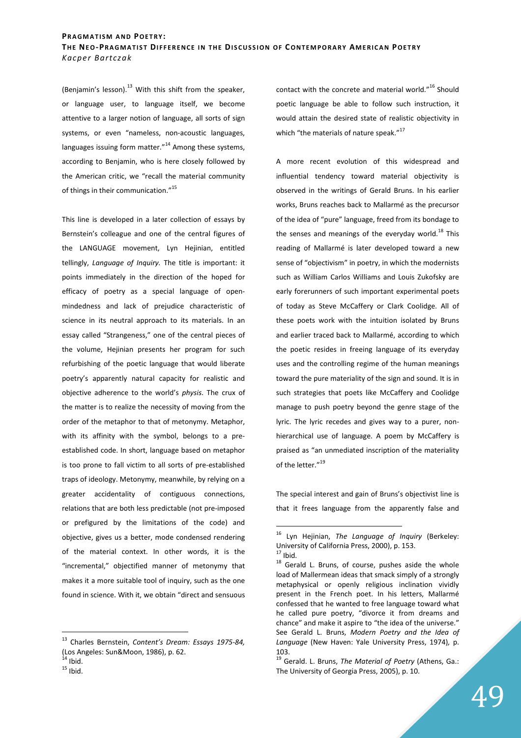(Benjamin's lesson). $^{13}$  With this shift from the speaker, or language user, to language itself, we become attentive to a larger notion of language, all sorts of sign systems, or even "nameless, non-acoustic languages, languages issuing form matter. $"^{14}$  Among these systems, according to Benjamin, who is here closely followed by the American critic, we "recall the material community of things in their communication."<sup>15</sup>

This line is developed in a later collection of essays by Bernstein's colleague and one of the central figures of the LANGUAGE movement, Lyn Hejinian, entitled tellingly, *Language of Inquiry.* The title is important: it points immediately in the direction of the hoped for efficacy of poetry as a special language of openmindedness and lack of prejudice characteristic of science in its neutral approach to its materials. In an essay called "Strangeness," one of the central pieces of the volume, Hejinian presents her program for such refurbishing of the poetic language that would liberate poetry's apparently natural capacity for realistic and objective adherence to the world's *physis*. The crux of the matter is to realize the necessity of moving from the order of the metaphor to that of metonymy. Metaphor, with its affinity with the symbol, belongs to a preestablished code. In short, language based on metaphor is too prone to fall victim to all sorts of pre-established traps of ideology. Metonymy, meanwhile, by relying on a greater accidentality of contiguous connections, relations that are both less predictable (not pre-imposed or prefigured by the limitations of the code) and objective, gives us a better, mode condensed rendering of the material context. In other words, it is the "incremental," objectified manner of metonymy that makes it a more suitable tool of inquiry, such as the one found in science. With it, we obtain "direct and sensuous

 $\overline{a}$ 

contact with the concrete and material world."<sup>16</sup> Should poetic language be able to follow such instruction, it would attain the desired state of realistic objectivity in which "the materials of nature speak."<sup>17</sup>

A more recent evolution of this widespread and influential tendency toward material objectivity is observed in the writings of Gerald Bruns. In his earlier works, Bruns reaches back to Mallarmé as the precursor of the idea of "pure" language, freed from its bondage to the senses and meanings of the everyday world.<sup>18</sup> This reading of Mallarmé is later developed toward a new sense of "objectivism" in poetry, in which the modernists such as William Carlos Williams and Louis Zukofsky are early forerunners of such important experimental poets of today as Steve McCaffery or Clark Coolidge. All of these poets work with the intuition isolated by Bruns and earlier traced back to Mallarmé, according to which the poetic resides in freeing language of its everyday uses and the controlling regime of the human meanings toward the pure materiality of the sign and sound. It is in such strategies that poets like McCaffery and Coolidge manage to push poetry beyond the genre stage of the lyric. The lyric recedes and gives way to a purer, nonhierarchical use of language. A poem by McCaffery is praised as "an unmediated inscription of the materiality of the letter."<sup>19</sup>

The special interest and gain of Bruns's objectivist line is that it frees language from the apparently false and

<sup>13</sup> Charles Bernstein, *Content's Dream: Essays 1975-84,*  (Los Angeles: Sun&Moon, 1986), p. 62.

 $^1$  Ibid.  $15$  Ibid.

<sup>16</sup> Lyn Hejinian, *The Language of Inquiry* (Berkeley: University of California Press, 2000), p. 153.

 $17$  Ibid.

 $18$  Gerald L. Bruns, of course, pushes aside the whole load of Mallermean ideas that smack simply of a strongly metaphysical or openly religious inclination vividly present in the French poet. In his letters, Mallarmé confessed that he wanted to free language toward what he called pure poetry, "divorce it from dreams and chance" and make it aspire to "the idea of the universe." See Gerald L. Bruns, *Modern Poetry and the Idea of Language* (New Haven: Yale University Press, 1974)*,* p. 103.

<sup>19</sup> Gerald. L. Bruns, *The Material of Poetry* (Athens, Ga.: The University of Georgia Press, 2005), p. 10.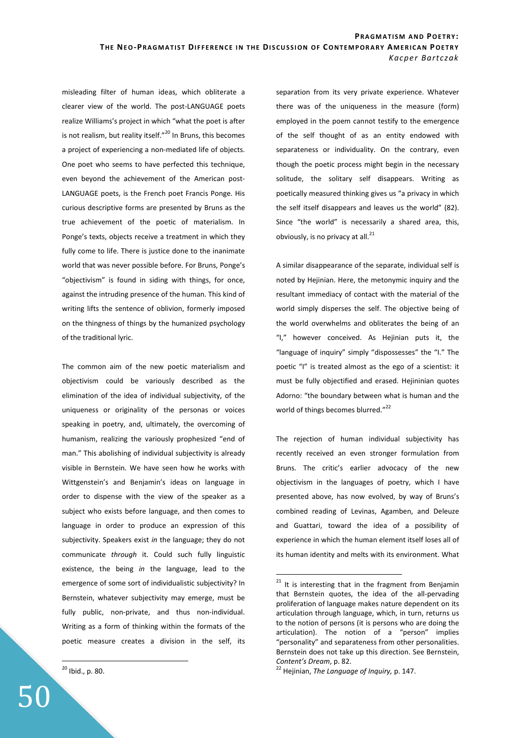misleading filter of human ideas, which obliterate a clearer view of the world. The post-LANGUAGE poets realize Williams's project in which "what the poet is after is not realism, but reality itself. $"^{20}$  In Bruns, this becomes a project of experiencing a non-mediated life of objects. One poet who seems to have perfected this technique, even beyond the achievement of the American post-LANGUAGE poets, is the French poet Francis Ponge. His curious descriptive forms are presented by Bruns as the true achievement of the poetic of materialism. In Ponge's texts, objects receive a treatment in which they fully come to life. There is justice done to the inanimate world that was never possible before. For Bruns, Ponge's "objectivism" is found in siding with things, for once, against the intruding presence of the human. This kind of writing lifts the sentence of oblivion, formerly imposed on the thingness of things by the humanized psychology of the traditional lyric.

The common aim of the new poetic materialism and objectivism could be variously described as the elimination of the idea of individual subjectivity, of the uniqueness or originality of the personas or voices speaking in poetry, and, ultimately, the overcoming of humanism, realizing the variously prophesized "end of man." This abolishing of individual subjectivity is already visible in Bernstein. We have seen how he works with Wittgenstein's and Benjamin's ideas on language in order to dispense with the view of the speaker as a subject who exists before language, and then comes to language in order to produce an expression of this subjectivity. Speakers exist *in* the language; they do not communicate *through* it. Could such fully linguistic existence, the being *in* the language, lead to the emergence of some sort of individualistic subjectivity? In Bernstein, whatever subjectivity may emerge, must be fully public, non-private, and thus non-individual. Writing as a form of thinking within the formats of the poetic measure creates a division in the self, its

<sup>20</sup> Ibid., p. 80.

 $\overline{a}$ 

50

separation from its very private experience. Whatever there was of the uniqueness in the measure (form) employed in the poem cannot testify to the emergence of the self thought of as an entity endowed with separateness or individuality. On the contrary, even though the poetic process might begin in the necessary solitude, the solitary self disappears. Writing as poetically measured thinking gives us "a privacy in which the self itself disappears and leaves us the world" (82). Since "the world" is necessarily a shared area, this, obviously, is no privacy at all. $^{21}$ 

A similar disappearance of the separate, individual self is noted by Hejinian. Here, the metonymic inquiry and the resultant immediacy of contact with the material of the world simply disperses the self. The objective being of the world overwhelms and obliterates the being of an "I," however conceived. As Hejinian puts it, the "language of inquiry" simply "dispossesses" the "I." The poetic "I" is treated almost as the ego of a scientist: it must be fully objectified and erased. Hejininian quotes Adorno: "the boundary between what is human and the world of things becomes blurred."<sup>22</sup>

The rejection of human individual subjectivity has recently received an even stronger formulation from Bruns. The critic's earlier advocacy of the new objectivism in the languages of poetry, which I have presented above, has now evolved, by way of Bruns's combined reading of Levinas, Agamben, and Deleuze and Guattari, toward the idea of a possibility of experience in which the human element itself loses all of its human identity and melts with its environment. What

 $21$  It is interesting that in the fragment from Benjamin that Bernstein quotes, the idea of the all-pervading proliferation of language makes nature dependent on its articulation through language, which, in turn, returns us to the notion of persons (it is persons who are doing the articulation). The notion of a "person" implies "personality" and separateness from other personalities. Bernstein does not take up this direction. See Bernstein, *Content's Dream*, p. 82.

<sup>22</sup> Hejinian, *The Language of Inquiry,* p. 147.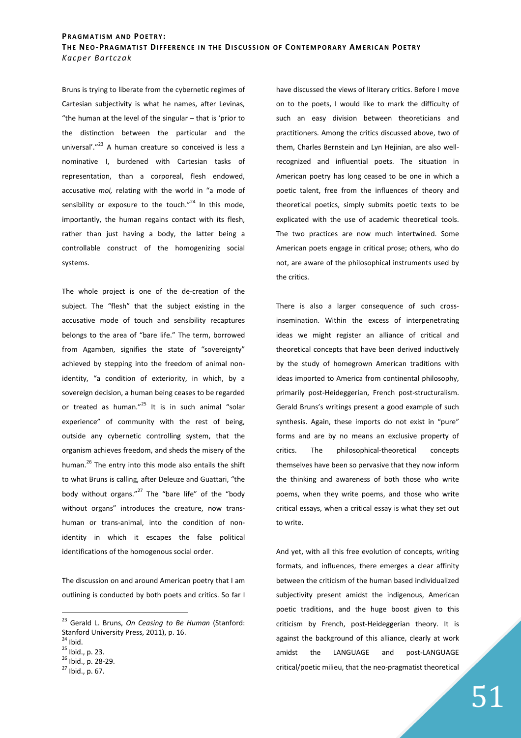Bruns is trying to liberate from the cybernetic regimes of Cartesian subjectivity is what he names, after Levinas, "the human at the level of the singular – that is 'prior to the distinction between the particular and the universal'."<sup>23</sup> A human creature so conceived is less a nominative I, burdened with Cartesian tasks of representation, than a corporeal, flesh endowed, accusative *moi,* relating with the world in "a mode of sensibility or exposure to the touch. $"^{24}$  In this mode, importantly, the human regains contact with its flesh, rather than just having a body, the latter being a controllable construct of the homogenizing social systems.

The whole project is one of the de-creation of the subject. The "flesh" that the subject existing in the accusative mode of touch and sensibility recaptures belongs to the area of "bare life." The term, borrowed from Agamben, signifies the state of "sovereignty" achieved by stepping into the freedom of animal nonidentity, "a condition of exteriority, in which, by a sovereign decision, a human being ceases to be regarded or treated as human."<sup>25</sup> It is in such animal "solar experience" of community with the rest of being, outside any cybernetic controlling system, that the organism achieves freedom, and sheds the misery of the human.<sup>26</sup> The entry into this mode also entails the shift to what Bruns is calling, after Deleuze and Guattari, "the body without organs."<sup>27</sup> The "bare life" of the "body without organs" introduces the creature, now transhuman or trans-animal, into the condition of nonidentity in which it escapes the false political identifications of the homogenous social order.

The discussion on and around American poetry that I am outlining is conducted by both poets and critics. So far I

 $\overline{a}$ 

have discussed the views of literary critics. Before I move on to the poets, I would like to mark the difficulty of such an easy division between theoreticians and practitioners. Among the critics discussed above, two of them, Charles Bernstein and Lyn Hejinian, are also wellrecognized and influential poets. The situation in American poetry has long ceased to be one in which a poetic talent, free from the influences of theory and theoretical poetics, simply submits poetic texts to be explicated with the use of academic theoretical tools. The two practices are now much intertwined. Some American poets engage in critical prose; others, who do not, are aware of the philosophical instruments used by the critics.

There is also a larger consequence of such crossinsemination. Within the excess of interpenetrating ideas we might register an alliance of critical and theoretical concepts that have been derived inductively by the study of homegrown American traditions with ideas imported to America from continental philosophy, primarily post-Heideggerian, French post-structuralism. Gerald Bruns's writings present a good example of such synthesis. Again, these imports do not exist in "pure" forms and are by no means an exclusive property of critics. The philosophical-theoretical concepts themselves have been so pervasive that they now inform the thinking and awareness of both those who write poems, when they write poems, and those who write critical essays, when a critical essay is what they set out to write.

And yet, with all this free evolution of concepts, writing formats, and influences, there emerges a clear affinity between the criticism of the human based individualized subjectivity present amidst the indigenous, American poetic traditions, and the huge boost given to this criticism by French, post-Heideggerian theory. It is against the background of this alliance, clearly at work amidst the LANGUAGE and post-LANGUAGE critical/poetic milieu, that the neo-pragmatist theoretical

<sup>23</sup> Gerald L. Bruns, *On Ceasing to Be Human* (Stanford: Stanford University Press, 2011), p. 16.

 $^1$  Ibid.

<sup>25</sup> Ibid., p. 23.

<sup>26</sup> Ibid., p. 28-29.

 $27$  Ibid., p. 67.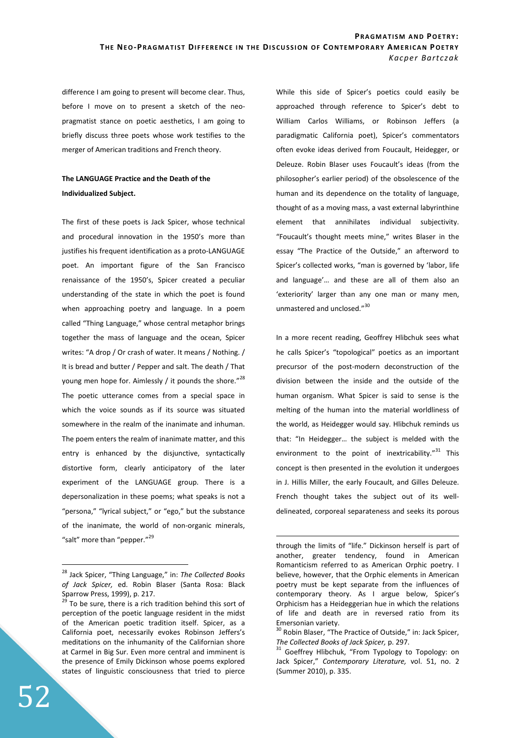$\overline{a}$ 

difference I am going to present will become clear. Thus, before I move on to present a sketch of the neopragmatist stance on poetic aesthetics, I am going to briefly discuss three poets whose work testifies to the merger of American traditions and French theory.

## **The LANGUAGE Practice and the Death of the Individualized Subject.**

The first of these poets is Jack Spicer, whose technical and procedural innovation in the 1950's more than justifies his frequent identification as a proto-LANGUAGE poet. An important figure of the San Francisco renaissance of the 1950's, Spicer created a peculiar understanding of the state in which the poet is found when approaching poetry and language. In a poem called "Thing Language," whose central metaphor brings together the mass of language and the ocean, Spicer writes: "A drop / Or crash of water. It means / Nothing. / It is bread and butter / Pepper and salt. The death / That young men hope for. Aimlessly / it pounds the shore."<sup>28</sup> The poetic utterance comes from a special space in which the voice sounds as if its source was situated somewhere in the realm of the inanimate and inhuman. The poem enters the realm of inanimate matter, and this entry is enhanced by the disjunctive, syntactically distortive form, clearly anticipatory of the later experiment of the LANGUAGE group. There is a depersonalization in these poems; what speaks is not a "persona," "lyrical subject," or "ego," but the substance of the inanimate, the world of non-organic minerals, "salt" more than "pepper."<sup>29</sup>

While this side of Spicer's poetics could easily be approached through reference to Spicer's debt to William Carlos Williams, or Robinson Jeffers (a paradigmatic California poet), Spicer's commentators often evoke ideas derived from Foucault, Heidegger, or Deleuze. Robin Blaser uses Foucault's ideas (from the philosopher's earlier period) of the obsolescence of the human and its dependence on the totality of language, thought of as a moving mass, a vast external labyrinthine element that annihilates individual subjectivity. "Foucault's thought meets mine," writes Blaser in the essay "The Practice of the Outside," an afterword to Spicer's collected works, "man is governed by 'labor, life and language'… and these are all of them also an 'exteriority' larger than any one man or many men, unmastered and unclosed."<sup>30</sup>

In a more recent reading, Geoffrey Hlibchuk sees what he calls Spicer's "topological" poetics as an important precursor of the post-modern deconstruction of the division between the inside and the outside of the human organism. What Spicer is said to sense is the melting of the human into the material worldliness of the world, as Heidegger would say. Hlibchuk reminds us that: "In Heidegger… the subject is melded with the environment to the point of inextricability."<sup>31</sup> This concept is then presented in the evolution it undergoes in J. Hillis Miller, the early Foucault, and Gilles Deleuze. French thought takes the subject out of its welldelineated, corporeal separateness and seeks its porous

<sup>28</sup> Jack Spicer, "Thing Language," in: *The Collected Books of Jack Spicer,* ed. Robin Blaser (Santa Rosa: Black Sparrow Press, 1999), p. 217.<br> $^{29}$  To be sump there is a sight in

To be sure, there is a rich tradition behind this sort of perception of the poetic language resident in the midst of the American poetic tradition itself. Spicer, as a California poet, necessarily evokes Robinson Jeffers's meditations on the inhumanity of the Californian shore at Carmel in Big Sur. Even more central and imminent is the presence of Emily Dickinson whose poems explored states of linguistic consciousness that tried to pierce

through the limits of "life." Dickinson herself is part of another, greater tendency, found in American Romanticism referred to as American Orphic poetry. I believe, however, that the Orphic elements in American poetry must be kept separate from the influences of contemporary theory. As I argue below, Spicer's Orphicism has a Heideggerian hue in which the relations of life and death are in reversed ratio from its Emersonian variety.

<sup>&</sup>lt;sup>30</sup> Robin Blaser, "The Practice of Outside," in: Jack Spicer, *The Collected Books of Jack Spicer,* p. 297.

<sup>&</sup>lt;sup>31</sup> Goeffrey Hlibchuk, "From Typology to Topology: on Jack Spicer," *Contemporary Literature,* vol. 51, no. 2 (Summer 2010), p. 335.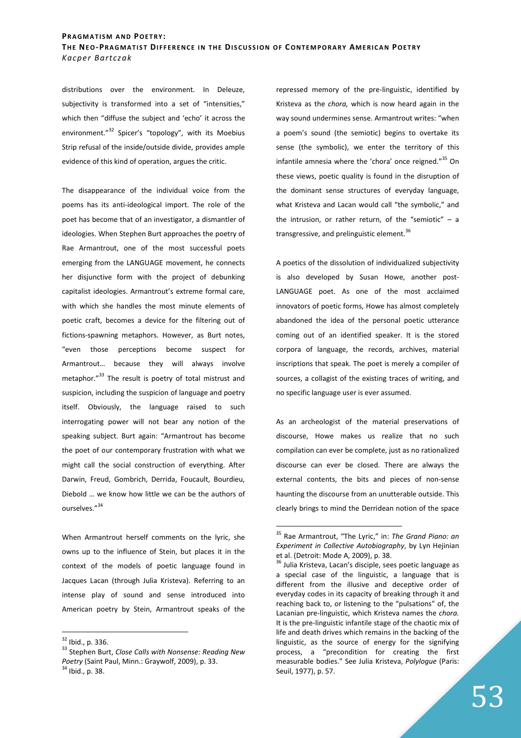distributions over the environment. In Deleuze, subjectivity is transformed into a set of "intensities," which then "diffuse the subject and 'echo' it across the environment."<sup>32</sup> Spicer's "topology", with its Moebius Strip refusal of the inside/outside divide, provides ample evidence of this kind of operation, argues the critic.

The disappearance of the individual voice from the poems has its anti-ideological import. The role of the poet has become that of an investigator, a dismantler of ideologies. When Stephen Burt approaches the poetry of Rae Armantrout, one of the most successful poets emerging from the LANGUAGE movement, he connects her disjunctive form with the project of debunking capitalist ideologies. Armantrout's extreme formal care, with which she handles the most minute elements of poetic craft, becomes a device for the filtering out of fictions-spawning metaphors. However, as Burt notes, "even those perceptions become suspect for Armantrout… because they will always involve metaphor."<sup>33</sup> The result is poetry of total mistrust and suspicion, including the suspicion of language and poetry itself. Obviously, the language raised to such interrogating power will not bear any notion of the speaking subject. Burt again: "Armantrout has become the poet of our contemporary frustration with what we might call the social construction of everything. After Darwin, Freud, Gombrich, Derrida, Foucault, Bourdieu, Diebold … we know how little we can be the authors of ourselves."<sup>34</sup>

When Armantrout herself comments on the lyric, she owns up to the influence of Stein, but places it in the context of the models of poetic language found in Jacques Lacan (through Julia Kristeva). Referring to an intense play of sound and sense introduced into American poetry by Stein, Armantrout speaks of the

 $\overline{a}$ 

repressed memory of the pre-linguistic, identified by Kristeva as the *chora,* which is now heard again in the way sound undermines sense. Armantrout writes: "when a poem's sound (the semiotic) begins to overtake its sense (the symbolic), we enter the territory of this infantile amnesia where the 'chora' once reigned."<sup>35</sup> On these views, poetic quality is found in the disruption of the dominant sense structures of everyday language, what Kristeva and Lacan would call "the symbolic," and the intrusion, or rather return, of the "semiotic"  $-$  a transgressive, and prelinguistic element.<sup>36</sup>

A poetics of the dissolution of individualized subjectivity is also developed by Susan Howe, another post-LANGUAGE poet. As one of the most acclaimed innovators of poetic forms, Howe has almost completely abandoned the idea of the personal poetic utterance coming out of an identified speaker. It is the stored corpora of language, the records, archives, material inscriptions that speak. The poet is merely a compiler of sources, a collagist of the existing traces of writing, and no specific language user is ever assumed.

As an archeologist of the material preservations of discourse, Howe makes us realize that no such compilation can ever be complete, just as no rationalized discourse can ever be closed. There are always the external contents, the bits and pieces of non-sense haunting the discourse from an unutterable outside. This clearly brings to mind the Derridean notion of the space

 $32$  Ibid., p. 336.

<sup>33</sup> Stephen Burt, *Close Calls with Nonsense: Reading New Poetry* (Saint Paul, Minn.: Graywolf, 2009), p. 33.  $34$  Ibid., p. 38.

<sup>35</sup> Rae Armantrout, "The Lyric," in: *The Grand Piano: an Experiment in Collective Autobiography*, by Lyn Hejinian et al. (Detroit: Mode A, 2009), p. 38.

 $36$  Julia Kristeva, Lacan's disciple, sees poetic language as a special case of the linguistic, a language that is different from the illusive and deceptive order of everyday codes in its capacity of breaking through it and reaching back to, or listening to the "pulsations" of, the Lacanian pre-linguistic, which Kristeva names the *chora.*  It is the pre-linguistic infantile stage of the chaotic mix of life and death drives which remains in the backing of the linguistic, as the source of energy for the signifying process, a "precondition for creating the first measurable bodies." See Julia Kristeva, *Polylogue* (Paris: Seuil, 1977), p. 57.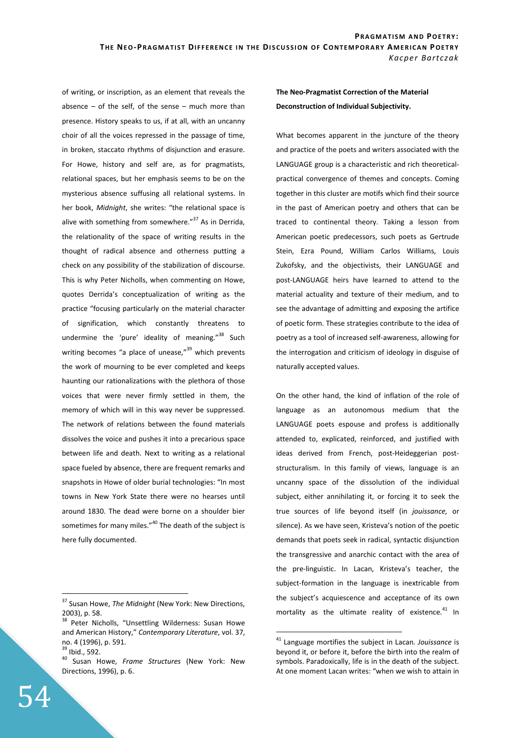of writing, or inscription, as an element that reveals the absence  $-$  of the self, of the sense  $-$  much more than presence. History speaks to us, if at all, with an uncanny choir of all the voices repressed in the passage of time, in broken, staccato rhythms of disjunction and erasure. For Howe, history and self are, as for pragmatists, relational spaces, but her emphasis seems to be on the mysterious absence suffusing all relational systems. In her book, *Midnight*, she writes: "the relational space is alive with something from somewhere." $37$  As in Derrida, the relationality of the space of writing results in the thought of radical absence and otherness putting a check on any possibility of the stabilization of discourse. This is why Peter Nicholls, when commenting on Howe, quotes Derrida's conceptualization of writing as the practice "focusing particularly on the material character of signification, which constantly threatens to undermine the 'pure' ideality of meaning."<sup>38</sup> Such writing becomes "a place of unease,"<sup>39</sup> which prevents the work of mourning to be ever completed and keeps haunting our rationalizations with the plethora of those voices that were never firmly settled in them, the memory of which will in this way never be suppressed. The network of relations between the found materials dissolves the voice and pushes it into a precarious space between life and death. Next to writing as a relational space fueled by absence, there are frequent remarks and snapshots in Howe of older burial technologies: "In most towns in New York State there were no hearses until around 1830. The dead were borne on a shoulder bier sometimes for many miles."<sup>40</sup> The death of the subject is here fully documented.

 $\overline{a}$ 

# **The Neo-Pragmatist Correction of the Material Deconstruction of Individual Subjectivity.**

What becomes apparent in the juncture of the theory and practice of the poets and writers associated with the LANGUAGE group is a characteristic and rich theoreticalpractical convergence of themes and concepts. Coming together in this cluster are motifs which find their source in the past of American poetry and others that can be traced to continental theory. Taking a lesson from American poetic predecessors, such poets as Gertrude Stein, Ezra Pound, William Carlos Williams, Louis Zukofsky, and the objectivists, their LANGUAGE and post-LANGUAGE heirs have learned to attend to the material actuality and texture of their medium, and to see the advantage of admitting and exposing the artifice of poetic form. These strategies contribute to the idea of poetry as a tool of increased self-awareness, allowing for the interrogation and criticism of ideology in disguise of naturally accepted values.

On the other hand, the kind of inflation of the role of language as an autonomous medium that the LANGUAGE poets espouse and profess is additionally attended to, explicated, reinforced, and justified with ideas derived from French, post-Heideggerian poststructuralism. In this family of views, language is an uncanny space of the dissolution of the individual subject, either annihilating it, or forcing it to seek the true sources of life beyond itself (in *jouissance,* or silence). As we have seen, Kristeva's notion of the poetic demands that poets seek in radical, syntactic disjunction the transgressive and anarchic contact with the area of the pre-linguistic. In Lacan, Kristeva's teacher, the subject-formation in the language is inextricable from the subject's acquiescence and acceptance of its own mortality as the ultimate reality of existence. $41$  In

<sup>37</sup> Susan Howe, *The Midnight* (New York: New Directions, 2003), p. 58.

<sup>&</sup>lt;sup>38</sup> Peter Nicholls, "Unsettling Wilderness: Susan Howe and American History," *Contemporary Literature*, vol. 37, no. 4 (1996), p. 591.

<sup>&</sup>lt;sup>39</sup> Ibid., 592.

<sup>40</sup> Susan Howe, *Frame Structures* (New York: New Directions, 1996), p. 6.

<sup>41</sup> Language mortifies the subject in Lacan. *Jouissance* is beyond it, or before it, before the birth into the realm of symbols. Paradoxically, life is in the death of the subject. At one moment Lacan writes: "when we wish to attain in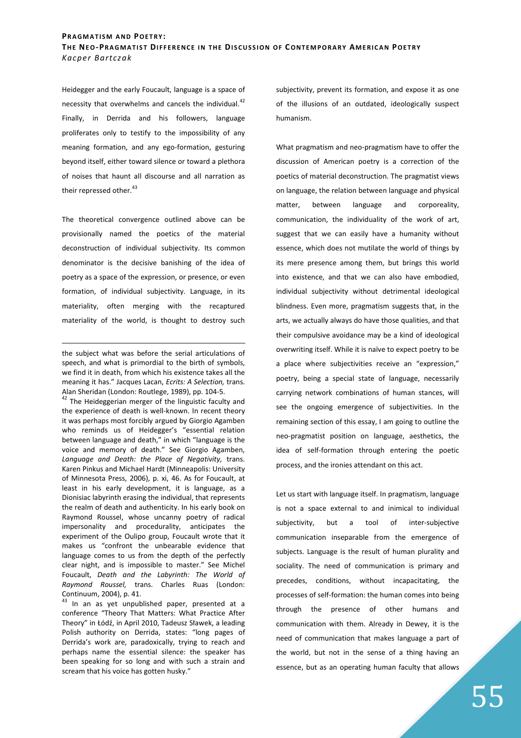Heidegger and the early Foucault, language is a space of necessity that overwhelms and cancels the individual.<sup>42</sup> Finally, in Derrida and his followers, language proliferates only to testify to the impossibility of any meaning formation, and any ego-formation, gesturing beyond itself, either toward silence or toward a plethora of noises that haunt all discourse and all narration as their repressed other.<sup>43</sup>

The theoretical convergence outlined above can be provisionally named the poetics of the material deconstruction of individual subjectivity. Its common denominator is the decisive banishing of the idea of poetry as a space of the expression, or presence, or even formation, of individual subjectivity. Language, in its materiality, often merging with the recaptured materiality of the world, is thought to destroy such

<u>.</u>

<sup>42</sup> The Heideggerian merger of the linguistic faculty and the experience of death is well-known. In recent theory it was perhaps most forcibly argued by Giorgio Agamben who reminds us of Heidegger's "essential relation between language and death," in which "language is the voice and memory of death." See Giorgio Agamben, *Language and Death: the Place of Negativity,* trans. Karen Pinkus and Michael Hardt (Minneapolis: University of Minnesota Press, 2006), p. xi, 46. As for Foucault, at least in his early development, it is language, as a Dionisiac labyrinth erasing the individual, that represents the realm of death and authenticity. In his early book on Raymond Roussel, whose uncanny poetry of radical impersonality and procedurality, anticipates the experiment of the Oulipo group, Foucault wrote that it makes us "confront the unbearable evidence that language comes to us from the depth of the perfectly clear night, and is impossible to master." See Michel Foucault, *Death and the Labyrinth: The World of Raymond Roussel,* trans. Charles Ruas (London: Continuum, 2004), p. 41.

 $43$  In an as yet unpublished paper, presented at a conference "Theory That Matters: What Practice After Theory" in Łódź, in April 2010, Tadeusz Sławek, a leading Polish authority on Derrida, states: "long pages of Derrida's work are, paradoxically, trying to reach and perhaps name the essential silence: the speaker has been speaking for so long and with such a strain and scream that his voice has gotten husky."

subjectivity, prevent its formation, and expose it as one of the illusions of an outdated, ideologically suspect humanism.

What pragmatism and neo-pragmatism have to offer the discussion of American poetry is a correction of the poetics of material deconstruction. The pragmatist views on language, the relation between language and physical matter, between language and corporeality, communication, the individuality of the work of art, suggest that we can easily have a humanity without essence, which does not mutilate the world of things by its mere presence among them, but brings this world into existence, and that we can also have embodied, individual subjectivity without detrimental ideological blindness. Even more, pragmatism suggests that, in the arts, we actually always do have those qualities, and that their compulsive avoidance may be a kind of ideological overwriting itself. While it is naïve to expect poetry to be a place where subjectivities receive an "expression," poetry, being a special state of language, necessarily carrying network combinations of human stances, will see the ongoing emergence of subjectivities. In the remaining section of this essay, I am going to outline the neo-pragmatist position on language, aesthetics, the idea of self-formation through entering the poetic process, and the ironies attendant on this act.

Let us start with language itself. In pragmatism, language is not a space external to and inimical to individual subjectivity, but a tool of inter-subjective communication inseparable from the emergence of subjects. Language is the result of human plurality and sociality. The need of communication is primary and precedes, conditions, without incapacitating, the processes of self-formation: the human comes into being through the presence of other humans and communication with them. Already in Dewey, it is the need of communication that makes language a part of the world, but not in the sense of a thing having an essence, but as an operating human faculty that allows

the subject what was before the serial articulations of speech, and what is primordial to the birth of symbols, we find it in death, from which his existence takes all the meaning it has." Jacques Lacan, *Ecrits: A Selection,* trans. Alan Sheridan (London: Routlege, 1989), pp. 104-5.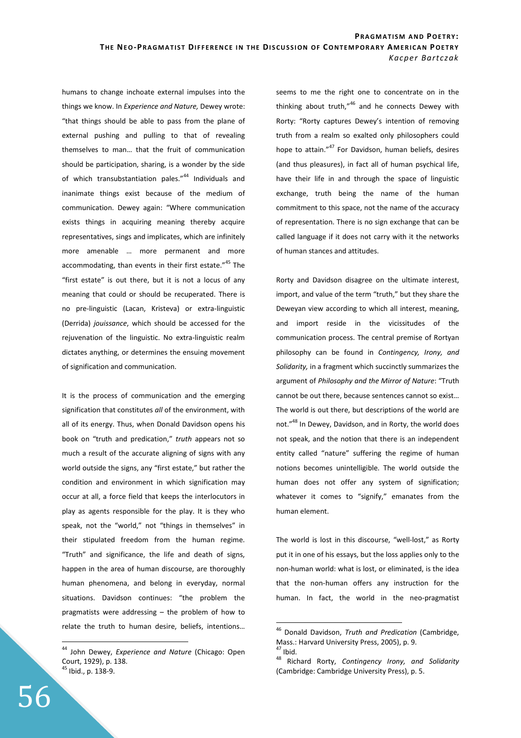humans to change inchoate external impulses into the things we know. In *Experience and Nature,* Dewey wrote: "that things should be able to pass from the plane of external pushing and pulling to that of revealing themselves to man… that the fruit of communication should be participation, sharing, is a wonder by the side of which transubstantiation pales."<sup>44</sup> Individuals and inanimate things exist because of the medium of communication. Dewey again: "Where communication exists things in acquiring meaning thereby acquire representatives, sings and implicates, which are infinitely more amenable … more permanent and more accommodating, than events in their first estate."<sup>45</sup> The "first estate" is out there, but it is not a locus of any meaning that could or should be recuperated. There is no pre-linguistic (Lacan, Kristeva) or extra-linguistic (Derrida) *jouissance*, which should be accessed for the rejuvenation of the linguistic. No extra-linguistic realm dictates anything, or determines the ensuing movement of signification and communication.

It is the process of communication and the emerging signification that constitutes *all* of the environment, with all of its energy. Thus, when Donald Davidson opens his book on "truth and predication," *truth* appears not so much a result of the accurate aligning of signs with any world outside the signs, any "first estate," but rather the condition and environment in which signification may occur at all, a force field that keeps the interlocutors in play as agents responsible for the play. It is they who speak, not the "world," not "things in themselves" in their stipulated freedom from the human regime. "Truth" and significance, the life and death of signs, happen in the area of human discourse, are thoroughly human phenomena, and belong in everyday, normal situations. Davidson continues: "the problem the pragmatists were addressing – the problem of how to relate the truth to human desire, beliefs, intentions… seems to me the right one to concentrate on in the thinking about truth,"<sup>46</sup> and he connects Dewey with Rorty: "Rorty captures Dewey's intention of removing truth from a realm so exalted only philosophers could hope to attain."<sup>47</sup> For Davidson, human beliefs, desires (and thus pleasures), in fact all of human psychical life, have their life in and through the space of linguistic exchange, truth being the name of the human commitment to this space, not the name of the accuracy of representation. There is no sign exchange that can be called language if it does not carry with it the networks of human stances and attitudes.

Rorty and Davidson disagree on the ultimate interest, import, and value of the term "truth," but they share the Deweyan view according to which all interest, meaning, and import reside in the vicissitudes of the communication process. The central premise of Rortyan philosophy can be found in *Contingency, Irony, and Solidarity,* in a fragment which succinctly summarizes the argument of *Philosophy and the Mirror of Nature*: "Truth cannot be out there, because sentences cannot so exist… The world is out there, but descriptions of the world are not."<sup>48</sup> In Dewey, Davidson, and in Rorty, the world does not speak, and the notion that there is an independent entity called "nature" suffering the regime of human notions becomes unintelligible. The world outside the human does not offer any system of signification; whatever it comes to "signify," emanates from the human element.

The world is lost in this discourse, "well-lost," as Rorty put it in one of his essays, but the loss applies only to the non-human world: what is lost, or eliminated, is the idea that the non-human offers any instruction for the human. In fact, the world in the neo-pragmatist

 $\overline{a}$ 

<sup>44</sup> John Dewey, *Experience and Nature* (Chicago: Open Court, 1929), p. 138.  $^{5}$  Ibid., p. 138-9.

<sup>46</sup> Donald Davidson, *Truth and Predication* (Cambridge, Mass.: Harvard University Press, 2005), p. 9. <sup>47</sup> Ibid.

<sup>48</sup> Richard Rorty, *Contingency Irony, and Solidarity*  (Cambridge: Cambridge University Press), p. 5.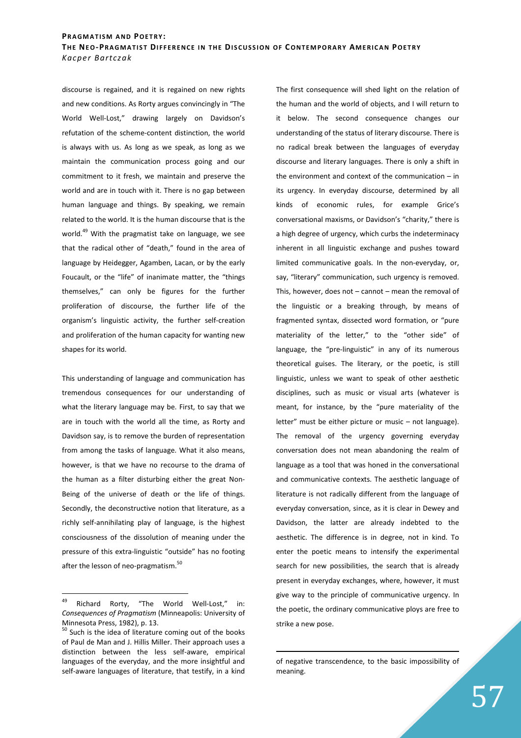discourse is regained, and it is regained on new rights and new conditions. As Rorty argues convincingly in "The World Well-Lost," drawing largely on Davidson's refutation of the scheme-content distinction, the world is always with us. As long as we speak, as long as we maintain the communication process going and our commitment to it fresh, we maintain and preserve the world and are in touch with it. There is no gap between human language and things. By speaking, we remain related to the world. It is the human discourse that is the world.<sup>49</sup> With the pragmatist take on language, we see that the radical other of "death," found in the area of language by Heidegger, Agamben, Lacan, or by the early Foucault, or the "life" of inanimate matter, the "things themselves," can only be figures for the further proliferation of discourse, the further life of the organism's linguistic activity, the further self-creation and proliferation of the human capacity for wanting new shapes for its world.

This understanding of language and communication has tremendous consequences for our understanding of what the literary language may be. First, to say that we are in touch with the world all the time, as Rorty and Davidson say, is to remove the burden of representation from among the tasks of language. What it also means, however, is that we have no recourse to the drama of the human as a filter disturbing either the great Non-Being of the universe of death or the life of things. Secondly, the deconstructive notion that literature, as a richly self-annihilating play of language, is the highest consciousness of the dissolution of meaning under the pressure of this extra-linguistic "outside" has no footing after the lesson of neo-pragmatism.<sup>50</sup>

The first consequence will shed light on the relation of the human and the world of objects, and I will return to it below. The second consequence changes our understanding of the status of literary discourse. There is no radical break between the languages of everyday discourse and literary languages. There is only a shift in the environment and context of the communication – in its urgency. In everyday discourse, determined by all kinds of economic rules, for example Grice's conversational maxisms, or Davidson's "charity," there is a high degree of urgency, which curbs the indeterminacy inherent in all linguistic exchange and pushes toward limited communicative goals. In the non-everyday, or, say, "literary" communication, such urgency is removed. This, however, does not  $-$  cannot  $-$  mean the removal of the linguistic or a breaking through, by means of fragmented syntax, dissected word formation, or "pure materiality of the letter," to the "other side" of language, the "pre-linguistic" in any of its numerous theoretical guises. The literary, or the poetic, is still linguistic, unless we want to speak of other aesthetic disciplines, such as music or visual arts (whatever is meant, for instance, by the "pure materiality of the letter" must be either picture or music – not language). The removal of the urgency governing everyday conversation does not mean abandoning the realm of language as a tool that was honed in the conversational and communicative contexts. The aesthetic language of literature is not radically different from the language of everyday conversation, since, as it is clear in Dewey and Davidson, the latter are already indebted to the aesthetic. The difference is in degree, not in kind. To enter the poetic means to intensify the experimental search for new possibilities, the search that is already present in everyday exchanges, where, however, it must give way to the principle of communicative urgency. In the poetic, the ordinary communicative ploys are free to strike a new pose.

<sup>49</sup> Richard Rorty, "The World Well-Lost," in: *Consequences of Pragmatism* (Minneapolis: University of Minnesota Press, 1982), p. 13.

<sup>&</sup>lt;sup>50</sup> Such is the idea of literature coming out of the books of Paul de Man and J. Hillis Miller. Their approach uses a distinction between the less self-aware, empirical languages of the everyday, and the more insightful and self-aware languages of literature, that testify, in a kind

of negative transcendence, to the basic impossibility of meaning.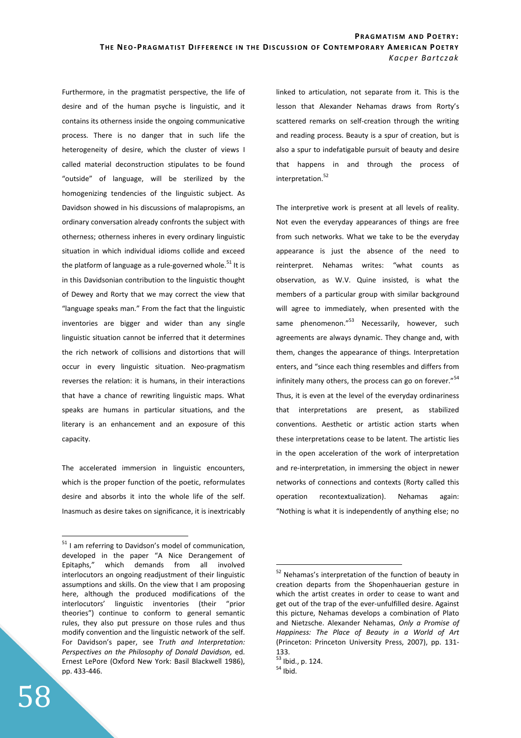Furthermore, in the pragmatist perspective, the life of desire and of the human psyche is linguistic, and it contains its otherness inside the ongoing communicative process. There is no danger that in such life the heterogeneity of desire, which the cluster of views I called material deconstruction stipulates to be found "outside" of language, will be sterilized by the homogenizing tendencies of the linguistic subject. As Davidson showed in his discussions of malapropisms, an ordinary conversation already confronts the subject with otherness; otherness inheres in every ordinary linguistic situation in which individual idioms collide and exceed the platform of language as a rule-governed whole.<sup>51</sup> It is in this Davidsonian contribution to the linguistic thought of Dewey and Rorty that we may correct the view that "language speaks man." From the fact that the linguistic inventories are bigger and wider than any single linguistic situation cannot be inferred that it determines the rich network of collisions and distortions that will occur in every linguistic situation. Neo-pragmatism reverses the relation: it is humans, in their interactions that have a chance of rewriting linguistic maps. What speaks are humans in particular situations, and the literary is an enhancement and an exposure of this capacity.

The accelerated immersion in linguistic encounters, which is the proper function of the poetic, reformulates desire and absorbs it into the whole life of the self. Inasmuch as desire takes on significance, it is inextricably linked to articulation, not separate from it. This is the lesson that Alexander Nehamas draws from Rorty's scattered remarks on self-creation through the writing and reading process. Beauty is a spur of creation, but is also a spur to indefatigable pursuit of beauty and desire that happens in and through the process of interpretation.<sup>52</sup>

The interpretive work is present at all levels of reality. Not even the everyday appearances of things are free from such networks. What we take to be the everyday appearance is just the absence of the need to reinterpret. Nehamas writes: "what counts as observation, as W.V. Quine insisted, is what the members of a particular group with similar background will agree to immediately, when presented with the same phenomenon."<sup>53</sup> Necessarily, however, such agreements are always dynamic. They change and, with them, changes the appearance of things. Interpretation enters, and "since each thing resembles and differs from infinitely many others, the process can go on forever." $54$ Thus, it is even at the level of the everyday ordinariness that interpretations are present, as stabilized conventions. Aesthetic or artistic action starts when these interpretations cease to be latent. The artistic lies in the open acceleration of the work of interpretation and re-interpretation, in immersing the object in newer networks of connections and contexts (Rorty called this operation recontextualization). Nehamas again: "Nothing is what it is independently of anything else; no

 $\overline{a}$ 

<sup>&</sup>lt;sup>51</sup> I am referring to Davidson's model of communication, developed in the paper "A Nice Derangement of Epitaphs," which demands from all involved interlocutors an ongoing readjustment of their linguistic assumptions and skills. On the view that I am proposing here, although the produced modifications of the interlocutors' linguistic inventories (their "prior theories") continue to conform to general semantic rules, they also put pressure on those rules and thus modify convention and the linguistic network of the self. For Davidson's paper, see *Truth and Interpretation: Perspectives on the Philosophy of Donald Davidson,* ed. Ernest LePore (Oxford New York: Basil Blackwell 1986), pp. 433-446.

Nehamas's interpretation of the function of beauty in creation departs from the Shopenhauerian gesture in which the artist creates in order to cease to want and get out of the trap of the ever-unfulfilled desire. Against this picture, Nehamas develops a combination of Plato and Nietzsche. Alexander Nehamas, *Only a Promise of Happiness: The Place of Beauty in a World of Art*  (Princeton: Princeton University Press, 2007), pp. 131- 133.

<sup>53</sup> Ibid., p. 124.

 $54$  Ibid.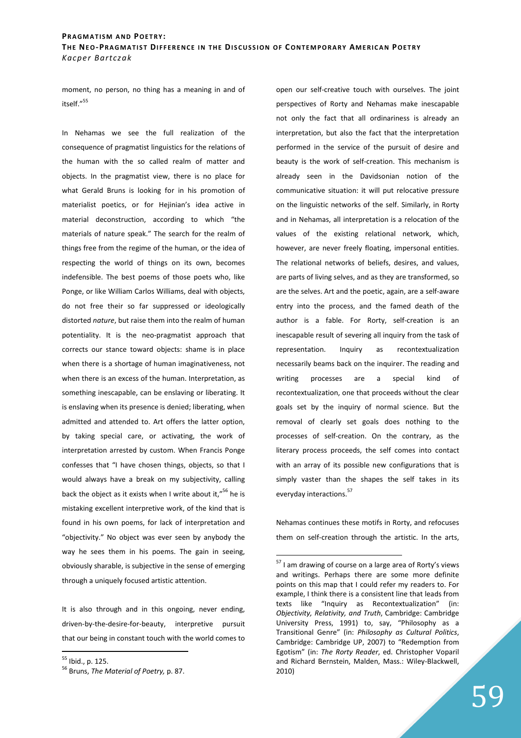moment, no person, no thing has a meaning in and of itself."<sup>55</sup>

In Nehamas we see the full realization of the consequence of pragmatist linguistics for the relations of the human with the so called realm of matter and objects. In the pragmatist view, there is no place for what Gerald Bruns is looking for in his promotion of materialist poetics, or for Hejinian's idea active in material deconstruction, according to which "the materials of nature speak." The search for the realm of things free from the regime of the human, or the idea of respecting the world of things on its own, becomes indefensible. The best poems of those poets who, like Ponge, or like William Carlos Williams, deal with objects, do not free their so far suppressed or ideologically distorted *nature*, but raise them into the realm of human potentiality. It is the neo-pragmatist approach that corrects our stance toward objects: shame is in place when there is a shortage of human imaginativeness, not when there is an excess of the human. Interpretation, as something inescapable, can be enslaving or liberating. It is enslaving when its presence is denied; liberating, when admitted and attended to. Art offers the latter option, by taking special care, or activating, the work of interpretation arrested by custom. When Francis Ponge confesses that "I have chosen things, objects, so that I would always have a break on my subjectivity, calling back the object as it exists when I write about it,"<sup>56</sup> he is mistaking excellent interpretive work, of the kind that is found in his own poems, for lack of interpretation and "objectivity." No object was ever seen by anybody the way he sees them in his poems. The gain in seeing, obviously sharable, is subjective in the sense of emerging through a uniquely focused artistic attention.

It is also through and in this ongoing, never ending, driven-by-the-desire-for-beauty, interpretive pursuit that our being in constant touch with the world comes to

<sup>55</sup> Ibid., p. 125.

 $\overline{a}$ 

open our self-creative touch with ourselves. The joint perspectives of Rorty and Nehamas make inescapable not only the fact that all ordinariness is already an interpretation, but also the fact that the interpretation performed in the service of the pursuit of desire and beauty is the work of self-creation. This mechanism is already seen in the Davidsonian notion of the communicative situation: it will put relocative pressure on the linguistic networks of the self. Similarly, in Rorty and in Nehamas, all interpretation is a relocation of the values of the existing relational network, which, however, are never freely floating, impersonal entities. The relational networks of beliefs, desires, and values, are parts of living selves, and as they are transformed, so are the selves. Art and the poetic, again, are a self-aware entry into the process, and the famed death of the author is a fable. For Rorty, self-creation is an inescapable result of severing all inquiry from the task of representation. Inquiry as recontextualization necessarily beams back on the inquirer. The reading and writing processes are a special kind of recontextualization, one that proceeds without the clear goals set by the inquiry of normal science. But the removal of clearly set goals does nothing to the processes of self-creation. On the contrary, as the literary process proceeds, the self comes into contact with an array of its possible new configurations that is simply vaster than the shapes the self takes in its everyday interactions.<sup>57</sup>

Nehamas continues these motifs in Rorty, and refocuses them on self-creation through the artistic. In the arts,

<sup>56</sup> Bruns, *The Material of Poetry,* p. 87.

<sup>&</sup>lt;sup>57</sup> I am drawing of course on a large area of Rorty's views and writings. Perhaps there are some more definite points on this map that I could refer my readers to. For example, I think there is a consistent line that leads from texts like "Inquiry as Recontextualization" (in: *Objectivity, Relativity, and Truth*, Cambridge: Cambridge University Press, 1991) to, say, "Philosophy as a Transitional Genre" (in: *Philosophy as Cultural Politics*, Cambridge: Cambridge UP, 2007) to "Redemption from Egotism" (in: *The Rorty Reader*, ed. Christopher Voparil and Richard Bernstein, Malden, Mass.: Wiley-Blackwell, 2010)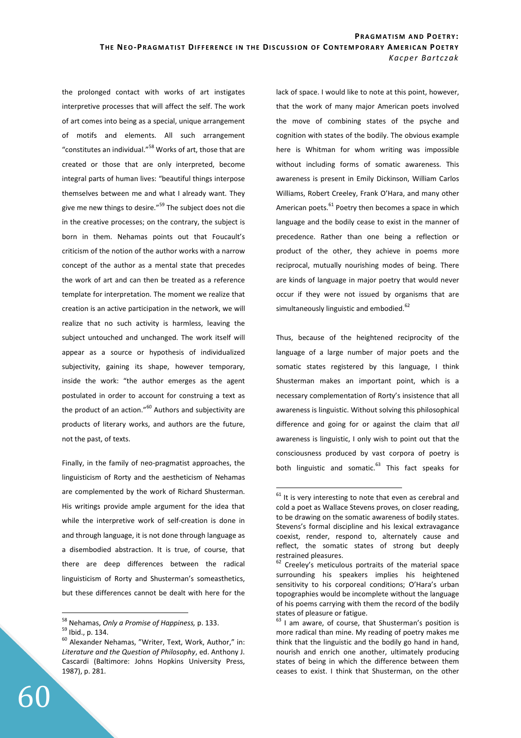$\overline{a}$ 

the prolonged contact with works of art instigates interpretive processes that will affect the self. The work of art comes into being as a special, unique arrangement of motifs and elements. All such arrangement "constitutes an individual."<sup>58</sup> Works of art, those that are created or those that are only interpreted, become integral parts of human lives: "beautiful things interpose themselves between me and what I already want. They give me new things to desire."<sup>59</sup> The subject does not die in the creative processes; on the contrary, the subject is born in them. Nehamas points out that Foucault's criticism of the notion of the author works with a narrow concept of the author as a mental state that precedes the work of art and can then be treated as a reference template for interpretation. The moment we realize that creation is an active participation in the network, we will realize that no such activity is harmless, leaving the subject untouched and unchanged. The work itself will appear as a source or hypothesis of individualized subjectivity, gaining its shape, however temporary, inside the work: "the author emerges as the agent postulated in order to account for construing a text as the product of an action."<sup>60</sup> Authors and subjectivity are products of literary works, and authors are the future, not the past, of texts.

Finally, in the family of neo-pragmatist approaches, the linguisticism of Rorty and the aestheticism of Nehamas are complemented by the work of Richard Shusterman. His writings provide ample argument for the idea that while the interpretive work of self-creation is done in and through language, it is not done through language as a disembodied abstraction. It is true, of course, that there are deep differences between the radical linguisticism of Rorty and Shusterman's someasthetics, but these differences cannot be dealt with here for the

 $\overline{a}$ 

lack of space. I would like to note at this point, however, that the work of many major American poets involved the move of combining states of the psyche and cognition with states of the bodily. The obvious example here is Whitman for whom writing was impossible without including forms of somatic awareness. This awareness is present in Emily Dickinson, William Carlos Williams, Robert Creeley, Frank O'Hara, and many other American poets.<sup>61</sup> Poetry then becomes a space in which language and the bodily cease to exist in the manner of precedence. Rather than one being a reflection or product of the other, they achieve in poems more reciprocal, mutually nourishing modes of being. There are kinds of language in major poetry that would never occur if they were not issued by organisms that are simultaneously linguistic and embodied.<sup>62</sup>

Thus, because of the heightened reciprocity of the language of a large number of major poets and the somatic states registered by this language, I think Shusterman makes an important point, which is a necessary complementation of Rorty's insistence that all awareness is linguistic. Without solving this philosophical difference and going for or against the claim that *all*  awareness is linguistic, I only wish to point out that the consciousness produced by vast corpora of poetry is both linguistic and somatic.<sup>63</sup> This fact speaks for

<sup>58</sup> Nehamas, *Only a Promise of Happiness,* p. 133.

<sup>59</sup> Ibid., p. 134.

<sup>60</sup> Alexander Nehamas, "Writer, Text, Work, Author," in: *Literature and the Question of Philosophy*, ed. Anthony J. Cascardi (Baltimore: Johns Hopkins University Press, 1987), p. 281.

 $61$  It is very interesting to note that even as cerebral and cold a poet as Wallace Stevens proves, on closer reading, to be drawing on the somatic awareness of bodily states. Stevens's formal discipline and his lexical extravagance coexist, render, respond to, alternately cause and reflect, the somatic states of strong but deeply restrained pleasures.

 $62$  Creeley's meticulous portraits of the material space surrounding his speakers implies his heightened sensitivity to his corporeal conditions; O'Hara's urban topographies would be incomplete without the language of his poems carrying with them the record of the bodily states of pleasure or fatigue.

 $63$  I am aware, of course, that Shusterman's position is more radical than mine. My reading of poetry makes me think that the linguistic and the bodily go hand in hand, nourish and enrich one another, ultimately producing states of being in which the difference between them ceases to exist. I think that Shusterman, on the other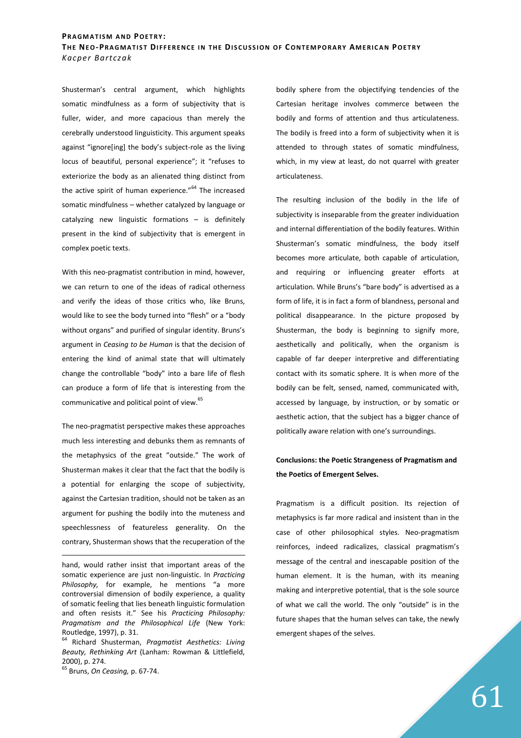Shusterman's central argument, which highlights somatic mindfulness as a form of subjectivity that is fuller, wider, and more capacious than merely the cerebrally understood linguisticity. This argument speaks against "ignore[ing] the body's subject-role as the living locus of beautiful, personal experience"; it "refuses to exteriorize the body as an alienated thing distinct from the active spirit of human experience."<sup>64</sup> The increased somatic mindfulness – whether catalyzed by language or catalyzing new linguistic formations – is definitely present in the kind of subjectivity that is emergent in complex poetic texts.

With this neo-pragmatist contribution in mind, however, we can return to one of the ideas of radical otherness and verify the ideas of those critics who, like Bruns, would like to see the body turned into "flesh" or a "body without organs" and purified of singular identity. Bruns's argument in *Ceasing to be Human* is that the decision of entering the kind of animal state that will ultimately change the controllable "body" into a bare life of flesh can produce a form of life that is interesting from the communicative and political point of view.<sup>65</sup>

The neo-pragmatist perspective makes these approaches much less interesting and debunks them as remnants of the metaphysics of the great "outside." The work of Shusterman makes it clear that the fact that the bodily is a potential for enlarging the scope of subjectivity, against the Cartesian tradition, should not be taken as an argument for pushing the bodily into the muteness and speechlessness of featureless generality. On the contrary, Shusterman shows that the recuperation of the

<sup>65</sup> Bruns, *On Ceasing,* p. 67-74.

<u>.</u>

bodily sphere from the objectifying tendencies of the Cartesian heritage involves commerce between the bodily and forms of attention and thus articulateness. The bodily is freed into a form of subjectivity when it is attended to through states of somatic mindfulness, which, in my view at least, do not quarrel with greater articulateness.

The resulting inclusion of the bodily in the life of subjectivity is inseparable from the greater individuation and internal differentiation of the bodily features. Within Shusterman's somatic mindfulness, the body itself becomes more articulate, both capable of articulation, and requiring or influencing greater efforts at articulation. While Bruns's "bare body" is advertised as a form of life, it is in fact a form of blandness, personal and political disappearance. In the picture proposed by Shusterman, the body is beginning to signify more, aesthetically and politically, when the organism is capable of far deeper interpretive and differentiating contact with its somatic sphere. It is when more of the bodily can be felt, sensed, named, communicated with, accessed by language, by instruction, or by somatic or aesthetic action, that the subject has a bigger chance of politically aware relation with one's surroundings.

# **Conclusions: the Poetic Strangeness of Pragmatism and the Poetics of Emergent Selves.**

Pragmatism is a difficult position. Its rejection of metaphysics is far more radical and insistent than in the case of other philosophical styles. Neo-pragmatism reinforces, indeed radicalizes, classical pragmatism's message of the central and inescapable position of the human element. It is the human, with its meaning making and interpretive potential, that is the sole source of what we call the world. The only "outside" is in the future shapes that the human selves can take, the newly emergent shapes of the selves.

hand, would rather insist that important areas of the somatic experience are just non-linguistic. In *Practicing Philosophy,* for example, he mentions "a more controversial dimension of bodily experience, a quality of somatic feeling that lies beneath linguistic formulation and often resists it." See his *Practicing Philosophy: Pragmatism and the Philosophical Life* (New York: Routledge, 1997), p. 31.

<sup>64</sup> Richard Shusterman, *Pragmatist Aesthetics: Living Beauty, Rethinking Art* (Lanham: Rowman & Littlefield, 2000), p. 274.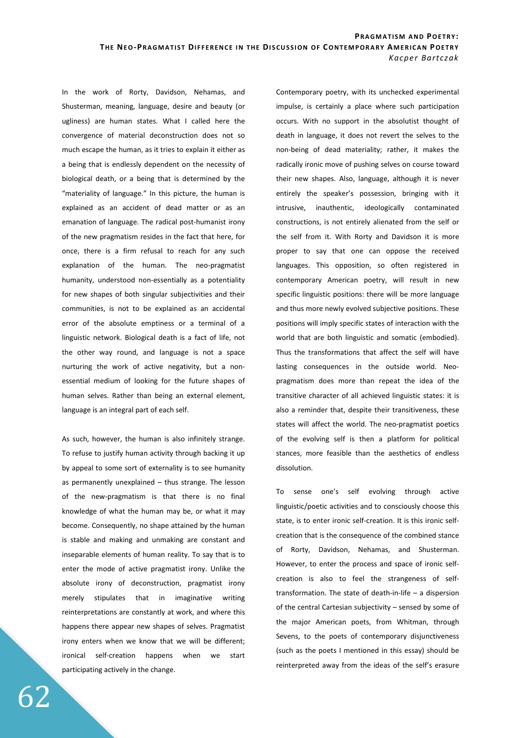In the work of Rorty, Davidson, Nehamas, and Shusterman, meaning, language, desire and beauty (or ugliness) are human states. What I called here the convergence of material deconstruction does not so much escape the human, as it tries to explain it either as a being that is endlessly dependent on the necessity of biological death, or a being that is determined by the "materiality of language." In this picture, the human is explained as an accident of dead matter or as an emanation of language. The radical post-humanist irony of the new pragmatism resides in the fact that here, for once, there is a firm refusal to reach for any such explanation of the human. The neo-pragmatist humanity, understood non-essentially as a potentiality for new shapes of both singular subjectivities and their communities, is not to be explained as an accidental error of the absolute emptiness or a terminal of a linguistic network. Biological death is a fact of life, not the other way round, and language is not a space nurturing the work of active negativity, but a nonessential medium of looking for the future shapes of human selves. Rather than being an external element, language is an integral part of each self.

As such, however, the human is also infinitely strange. To refuse to justify human activity through backing it up by appeal to some sort of externality is to see humanity as permanently unexplained – thus strange. The lesson of the new-pragmatism is that there is no final knowledge of what the human may be, or what it may become. Consequently, no shape attained by the human is stable and making and unmaking are constant and inseparable elements of human reality. To say that is to enter the mode of active pragmatist irony. Unlike the absolute irony of deconstruction, pragmatist irony merely stipulates that in imaginative writing reinterpretations are constantly at work, and where this happens there appear new shapes of selves. Pragmatist irony enters when we know that we will be different; ironical self-creation happens when we start participating actively in the change.

Contemporary poetry, with its unchecked experimental impulse, is certainly a place where such participation occurs. With no support in the absolutist thought of death in language, it does not revert the selves to the non-being of dead materiality; rather, it makes the radically ironic move of pushing selves on course toward their new shapes. Also, language, although it is never entirely the speaker's possession, bringing with it intrusive, inauthentic, ideologically contaminated constructions, is not entirely alienated from the self or the self from it. With Rorty and Davidson it is more proper to say that one can oppose the received languages. This opposition, so often registered in contemporary American poetry, will result in new specific linguistic positions: there will be more language and thus more newly evolved subjective positions. These positions will imply specific states of interaction with the world that are both linguistic and somatic (embodied). Thus the transformations that affect the self will have lasting consequences in the outside world. Neopragmatism does more than repeat the idea of the transitive character of all achieved linguistic states: it is also a reminder that, despite their transitiveness, these states will affect the world. The neo-pragmatist poetics of the evolving self is then a platform for political stances, more feasible than the aesthetics of endless dissolution.

To sense one's self evolving through active linguistic/poetic activities and to consciously choose this state, is to enter ironic self-creation. It is this ironic selfcreation that is the consequence of the combined stance of Rorty, Davidson, Nehamas, and Shusterman. However, to enter the process and space of ironic selfcreation is also to feel the strangeness of selftransformation. The state of death-in-life – a dispersion of the central Cartesian subjectivity – sensed by some of the major American poets, from Whitman, through Sevens, to the poets of contemporary disjunctiveness (such as the poets I mentioned in this essay) should be reinterpreted away from the ideas of the self's erasure